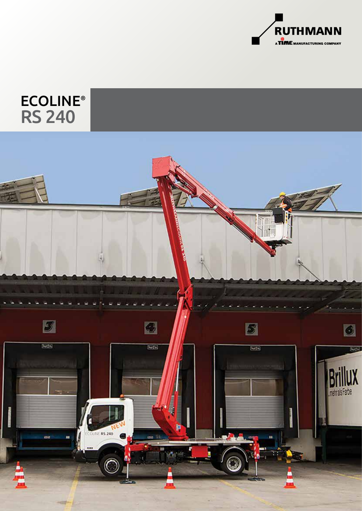